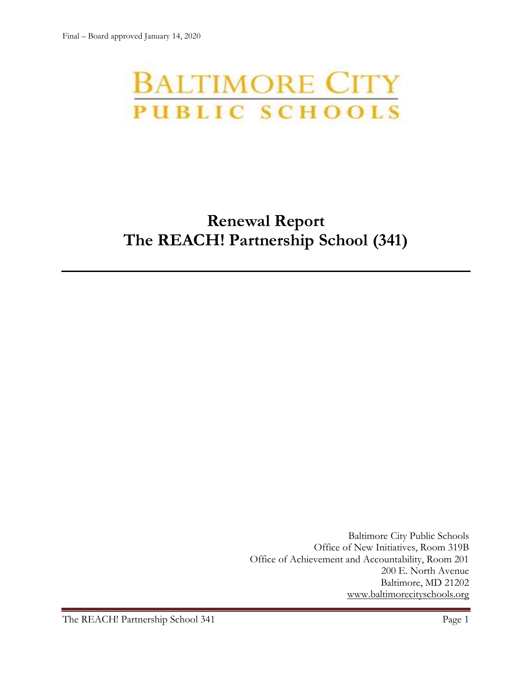# **BALTIMORE CITY** PUBLIC SCHOOLS

# **Renewal Report The REACH! Partnership School (341)**

Baltimore City Public Schools Office of New Initiatives, Room 319B Office of Achievement and Accountability, Room 201 200 E. North Avenue Baltimore, MD 21202 [www.baltimorecityschools.org](http://www.baltimorecityschools.org/)

The REACH! Partnership School 341 Page 1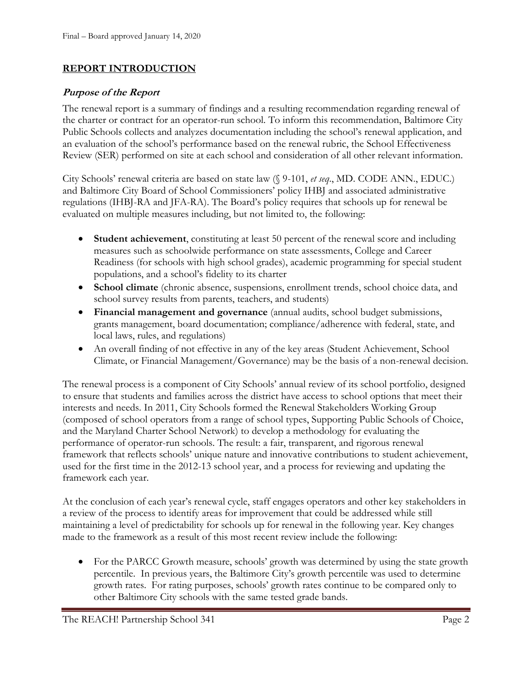# **REPORT INTRODUCTION**

## **Purpose of the Report**

The renewal report is a summary of findings and a resulting recommendation regarding renewal of the charter or contract for an operator-run school. To inform this recommendation, Baltimore City Public Schools collects and analyzes documentation including the school's renewal application, and an evaluation of the school's performance based on the renewal rubric, the School Effectiveness Review (SER) performed on site at each school and consideration of all other relevant information.

City Schools' renewal criteria are based on state law (§ 9-101, *et seq*., MD. CODE ANN., EDUC.) and Baltimore City Board of School Commissioners' policy IHBJ and associated administrative regulations (IHBJ-RA and JFA-RA). The Board's policy requires that schools up for renewal be evaluated on multiple measures including, but not limited to, the following:

- **Student achievement**, constituting at least 50 percent of the renewal score and including measures such as schoolwide performance on state assessments, College and Career Readiness (for schools with high school grades), academic programming for special student populations, and a school's fidelity to its charter
- **School climate** (chronic absence, suspensions, enrollment trends, school choice data, and school survey results from parents, teachers, and students)
- **Financial management and governance** (annual audits, school budget submissions, grants management, board documentation; compliance/adherence with federal, state, and local laws, rules, and regulations)
- An overall finding of not effective in any of the key areas (Student Achievement, School Climate, or Financial Management/Governance) may be the basis of a non-renewal decision.

The renewal process is a component of City Schools' annual review of its school portfolio, designed to ensure that students and families across the district have access to school options that meet their interests and needs. In 2011, City Schools formed the Renewal Stakeholders Working Group (composed of school operators from a range of school types, Supporting Public Schools of Choice, and the Maryland Charter School Network) to develop a methodology for evaluating the performance of operator-run schools. The result: a fair, transparent, and rigorous renewal framework that reflects schools' unique nature and innovative contributions to student achievement, used for the first time in the 2012-13 school year, and a process for reviewing and updating the framework each year.

At the conclusion of each year's renewal cycle, staff engages operators and other key stakeholders in a review of the process to identify areas for improvement that could be addressed while still maintaining a level of predictability for schools up for renewal in the following year. Key changes made to the framework as a result of this most recent review include the following:

• For the PARCC Growth measure, schools' growth was determined by using the state growth percentile. In previous years, the Baltimore City's growth percentile was used to determine growth rates. For rating purposes, schools' growth rates continue to be compared only to other Baltimore City schools with the same tested grade bands.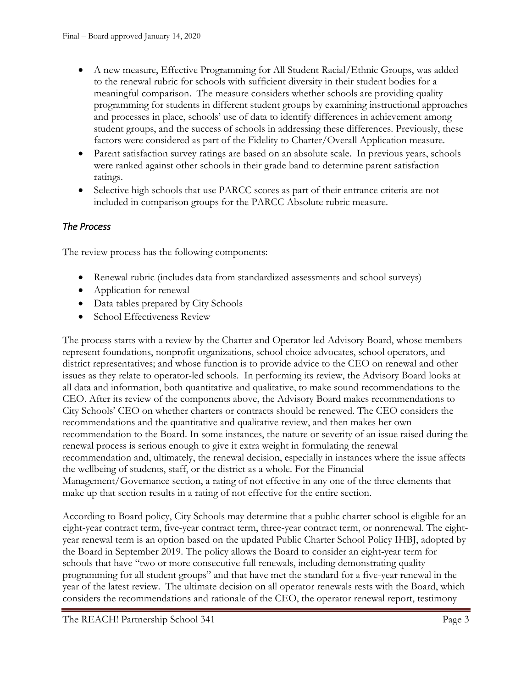- A new measure, Effective Programming for All Student Racial/Ethnic Groups, was added to the renewal rubric for schools with sufficient diversity in their student bodies for a meaningful comparison. The measure considers whether schools are providing quality programming for students in different student groups by examining instructional approaches and processes in place, schools' use of data to identify differences in achievement among student groups, and the success of schools in addressing these differences. Previously, these factors were considered as part of the Fidelity to Charter/Overall Application measure.
- Parent satisfaction survey ratings are based on an absolute scale. In previous years, schools were ranked against other schools in their grade band to determine parent satisfaction ratings.
- Selective high schools that use PARCC scores as part of their entrance criteria are not included in comparison groups for the PARCC Absolute rubric measure.

# *The Process*

The review process has the following components:

- Renewal rubric (includes data from standardized assessments and school surveys)
- Application for renewal
- Data tables prepared by City Schools
- School Effectiveness Review

The process starts with a review by the Charter and Operator-led Advisory Board, whose members represent foundations, nonprofit organizations, school choice advocates, school operators, and district representatives; and whose function is to provide advice to the CEO on renewal and other issues as they relate to operator-led schools. In performing its review, the Advisory Board looks at all data and information, both quantitative and qualitative, to make sound recommendations to the CEO. After its review of the components above, the Advisory Board makes recommendations to City Schools' CEO on whether charters or contracts should be renewed. The CEO considers the recommendations and the quantitative and qualitative review, and then makes her own recommendation to the Board. In some instances, the nature or severity of an issue raised during the renewal process is serious enough to give it extra weight in formulating the renewal recommendation and, ultimately, the renewal decision, especially in instances where the issue affects the wellbeing of students, staff, or the district as a whole. For the Financial Management/Governance section, a rating of not effective in any one of the three elements that make up that section results in a rating of not effective for the entire section.

According to Board policy, City Schools may determine that a public charter school is eligible for an eight-year contract term, five-year contract term, three-year contract term, or nonrenewal. The eightyear renewal term is an option based on the updated Public Charter School Policy IHBJ, adopted by the Board in September 2019. The policy allows the Board to consider an eight-year term for schools that have "two or more consecutive full renewals, including demonstrating quality programming for all student groups" and that have met the standard for a five-year renewal in the year of the latest review. The ultimate decision on all operator renewals rests with the Board, which considers the recommendations and rationale of the CEO, the operator renewal report, testimony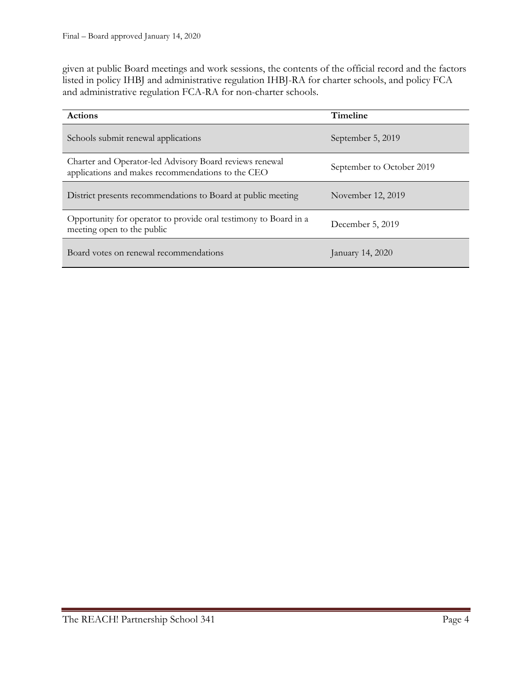given at public Board meetings and work sessions, the contents of the official record and the factors listed in policy IHBJ and administrative regulation IHBJ-RA for charter schools, and policy FCA and administrative regulation FCA-RA for non-charter schools.

| <b>Actions</b>                                                                                               | <b>Timeline</b>           |  |
|--------------------------------------------------------------------------------------------------------------|---------------------------|--|
| Schools submit renewal applications                                                                          | September 5, 2019         |  |
| Charter and Operator-led Advisory Board reviews renewal<br>applications and makes recommendations to the CEO | September to October 2019 |  |
| District presents recommendations to Board at public meeting                                                 | November 12, 2019         |  |
| Opportunity for operator to provide oral testimony to Board in a<br>meeting open to the public               | December 5, 2019          |  |
| Board votes on renewal recommendations                                                                       | January 14, 2020          |  |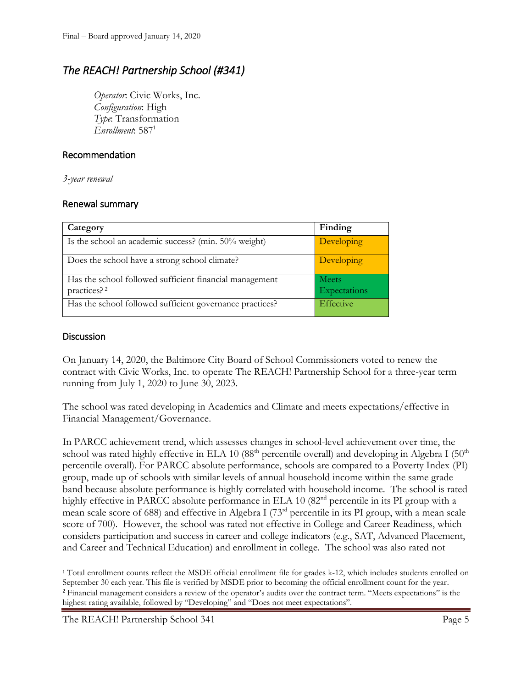# *The REACH! Partnership School (#341)*

*Operator*: Civic Works, Inc. *Configuration*: High *Type*: Transformation *Enrollment*: 587<sup>1</sup>

### Recommendation

*3-year renewal*

#### Renewal summary

| Category                                                                           | Finding                      |
|------------------------------------------------------------------------------------|------------------------------|
| Is the school an academic success? (min. 50% weight)                               | Developing                   |
| Does the school have a strong school climate?                                      | Developing                   |
| Has the school followed sufficient financial management<br>practices? <sup>2</sup> | <b>Meets</b><br>Expectations |
| Has the school followed sufficient governance practices?                           | Effective                    |

#### **Discussion**

On January 14, 2020, the Baltimore City Board of School Commissioners voted to renew the contract with Civic Works, Inc. to operate The REACH! Partnership School for a three-year term running from July 1, 2020 to June 30, 2023.

The school was rated developing in Academics and Climate and meets expectations/effective in Financial Management/Governance.

In PARCC achievement trend, which assesses changes in school-level achievement over time, the school was rated highly effective in ELA 10 (88<sup>th</sup> percentile overall) and developing in Algebra I (50<sup>th</sup>) percentile overall). For PARCC absolute performance, schools are compared to a Poverty Index (PI) group, made up of schools with similar levels of annual household income within the same grade band because absolute performance is highly correlated with household income. The school is rated highly effective in PARCC absolute performance in ELA 10 (82<sup>nd</sup> percentile in its PI group with a mean scale score of 688) and effective in Algebra I (73rd percentile in its PI group, with a mean scale score of 700). However, the school was rated not effective in College and Career Readiness, which considers participation and success in career and college indicators (e.g., SAT, Advanced Placement, and Career and Technical Education) and enrollment in college. The school was also rated not

The REACH! Partnership School 341 Page 5

l <sup>1</sup> Total enrollment counts reflect the MSDE official enrollment file for grades k-12, which includes students enrolled on September 30 each year. This file is verified by MSDE prior to becoming the official enrollment count for the year. <sup>2</sup> Financial management considers a review of the operator's audits over the contract term. "Meets expectations" is the highest rating available, followed by "Developing" and "Does not meet expectations".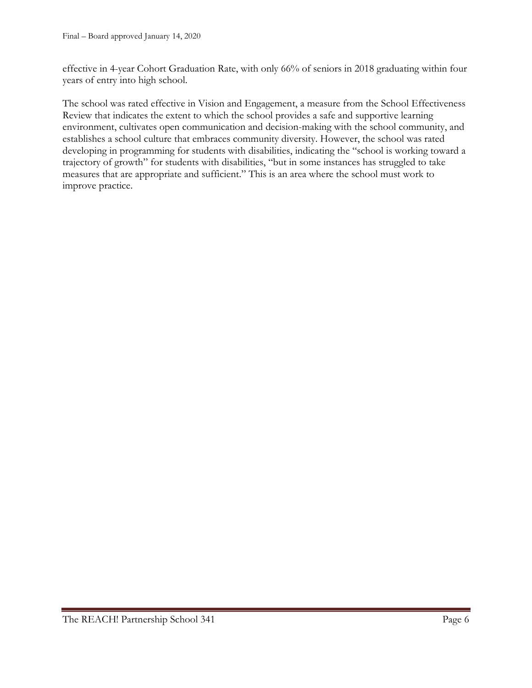effective in 4-year Cohort Graduation Rate, with only 66% of seniors in 2018 graduating within four years of entry into high school.

The school was rated effective in Vision and Engagement, a measure from the School Effectiveness Review that indicates the extent to which the school provides a safe and supportive learning environment, cultivates open communication and decision-making with the school community, and establishes a school culture that embraces community diversity. However, the school was rated developing in programming for students with disabilities, indicating the "school is working toward a trajectory of growth" for students with disabilities, "but in some instances has struggled to take measures that are appropriate and sufficient." This is an area where the school must work to improve practice.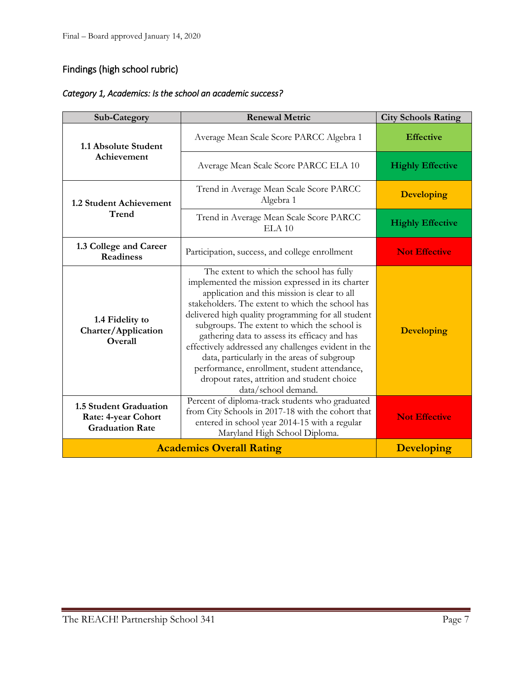# Findings (high school rubric)

| Category 1, Academics: Is the school an academic success? |  |
|-----------------------------------------------------------|--|
|-----------------------------------------------------------|--|

| Sub-Category                                                                          | <b>Renewal Metric</b>                                                                                                                                                                                                                                                                                                                                                                                                                                                                                                                                                               | <b>City Schools Rating</b> |
|---------------------------------------------------------------------------------------|-------------------------------------------------------------------------------------------------------------------------------------------------------------------------------------------------------------------------------------------------------------------------------------------------------------------------------------------------------------------------------------------------------------------------------------------------------------------------------------------------------------------------------------------------------------------------------------|----------------------------|
| 1.1 Absolute Student<br>Achievement                                                   | Average Mean Scale Score PARCC Algebra 1                                                                                                                                                                                                                                                                                                                                                                                                                                                                                                                                            | <b>Effective</b>           |
|                                                                                       | Average Mean Scale Score PARCC ELA 10                                                                                                                                                                                                                                                                                                                                                                                                                                                                                                                                               | <b>Highly Effective</b>    |
| 1.2 Student Achievement<br>Trend                                                      | Trend in Average Mean Scale Score PARCC<br>Algebra 1                                                                                                                                                                                                                                                                                                                                                                                                                                                                                                                                | <b>Developing</b>          |
|                                                                                       | Trend in Average Mean Scale Score PARCC<br>ELA 10                                                                                                                                                                                                                                                                                                                                                                                                                                                                                                                                   | <b>Highly Effective</b>    |
| 1.3 College and Career<br><b>Readiness</b>                                            | Participation, success, and college enrollment                                                                                                                                                                                                                                                                                                                                                                                                                                                                                                                                      | <b>Not Effective</b>       |
| 1.4 Fidelity to<br>Charter/Application<br>Overall                                     | The extent to which the school has fully<br>implemented the mission expressed in its charter<br>application and this mission is clear to all<br>stakeholders. The extent to which the school has<br>delivered high quality programming for all student<br>subgroups. The extent to which the school is<br>gathering data to assess its efficacy and has<br>effectively addressed any challenges evident in the<br>data, particularly in the areas of subgroup<br>performance, enrollment, student attendance,<br>dropout rates, attrition and student choice<br>data/school demand. | <b>Developing</b>          |
| <b>1.5 Student Graduation</b><br><b>Rate: 4-year Cohort</b><br><b>Graduation Rate</b> | Percent of diploma-track students who graduated<br>from City Schools in 2017-18 with the cohort that<br>entered in school year 2014-15 with a regular<br>Maryland High School Diploma.                                                                                                                                                                                                                                                                                                                                                                                              | <b>Not Effective</b>       |
|                                                                                       | <b>Academics Overall Rating</b>                                                                                                                                                                                                                                                                                                                                                                                                                                                                                                                                                     | <b>Developing</b>          |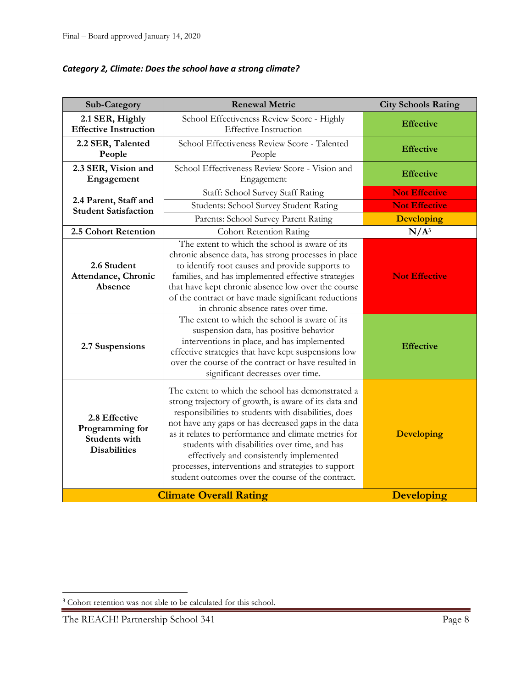| Category 2, Climate: Does the school have a strong climate? |  |  |
|-------------------------------------------------------------|--|--|
|-------------------------------------------------------------|--|--|

| Sub-Category                                                                    | <b>Renewal Metric</b>                                                                                                                                                                                                                                                                                                                                                                                                                                                                     | <b>City Schools Rating</b> |
|---------------------------------------------------------------------------------|-------------------------------------------------------------------------------------------------------------------------------------------------------------------------------------------------------------------------------------------------------------------------------------------------------------------------------------------------------------------------------------------------------------------------------------------------------------------------------------------|----------------------------|
| 2.1 SER, Highly<br><b>Effective Instruction</b>                                 | School Effectiveness Review Score - Highly<br><b>Effective Instruction</b>                                                                                                                                                                                                                                                                                                                                                                                                                | <b>Effective</b>           |
| 2.2 SER, Talented<br>People                                                     | School Effectiveness Review Score - Talented<br>People                                                                                                                                                                                                                                                                                                                                                                                                                                    | <b>Effective</b>           |
| 2.3 SER, Vision and<br>Engagement                                               | School Effectiveness Review Score - Vision and<br>Engagement                                                                                                                                                                                                                                                                                                                                                                                                                              | <b>Effective</b>           |
|                                                                                 | Staff: School Survey Staff Rating                                                                                                                                                                                                                                                                                                                                                                                                                                                         | <b>Not Effective</b>       |
| 2.4 Parent, Staff and<br><b>Student Satisfaction</b>                            | Students: School Survey Student Rating                                                                                                                                                                                                                                                                                                                                                                                                                                                    | <b>Not Effective</b>       |
|                                                                                 | Parents: School Survey Parent Rating                                                                                                                                                                                                                                                                                                                                                                                                                                                      | <b>Developing</b>          |
| 2.5 Cohort Retention                                                            | <b>Cohort Retention Rating</b>                                                                                                                                                                                                                                                                                                                                                                                                                                                            | $N/A^3$                    |
| 2.6 Student<br>Attendance, Chronic<br>Absence                                   | The extent to which the school is aware of its<br>chronic absence data, has strong processes in place<br>to identify root causes and provide supports to<br>families, and has implemented effective strategies<br>that have kept chronic absence low over the course<br>of the contract or have made significant reductions<br>in chronic absence rates over time.                                                                                                                        | <b>Not Effective</b>       |
| 2.7 Suspensions                                                                 | The extent to which the school is aware of its<br>suspension data, has positive behavior<br>interventions in place, and has implemented<br>effective strategies that have kept suspensions low<br>over the course of the contract or have resulted in<br>significant decreases over time.                                                                                                                                                                                                 | <b>Effective</b>           |
| 2.8 Effective<br>Programming for<br><b>Students with</b><br><b>Disabilities</b> | The extent to which the school has demonstrated a<br>strong trajectory of growth, is aware of its data and<br>responsibilities to students with disabilities, does<br>not have any gaps or has decreased gaps in the data<br>as it relates to performance and climate metrics for<br>students with disabilities over time, and has<br>effectively and consistently implemented<br>processes, interventions and strategies to support<br>student outcomes over the course of the contract. | <b>Developing</b>          |
|                                                                                 | <b>Climate Overall Rating</b>                                                                                                                                                                                                                                                                                                                                                                                                                                                             | <b>Developing</b>          |

l

<sup>&</sup>lt;sup>3</sup> Cohort retention was not able to be calculated for this school.

The REACH! Partnership School 341 Page 8